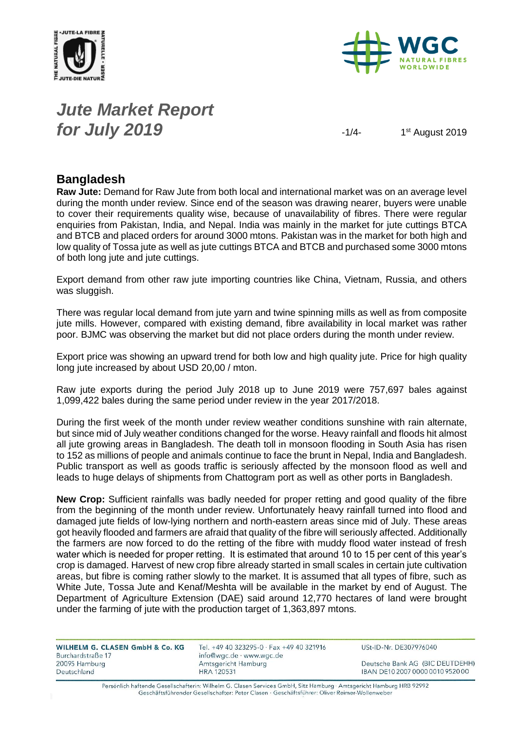



## *Jute Market Report for July 2019*  $-1/4$

1<sup>st</sup> August 2019

#### **Bangladesh**

**Raw Jute:** Demand for Raw Jute from both local and international market was on an average level during the month under review. Since end of the season was drawing nearer, buyers were unable to cover their requirements quality wise, because of unavailability of fibres. There were regular enquiries from Pakistan, India, and Nepal. India was mainly in the market for jute cuttings BTCA and BTCB and placed orders for around 3000 mtons. Pakistan was in the market for both high and low quality of Tossa jute as well as jute cuttings BTCA and BTCB and purchased some 3000 mtons of both long jute and jute cuttings.

Export demand from other raw jute importing countries like China, Vietnam, Russia, and others was sluggish.

There was regular local demand from jute yarn and twine spinning mills as well as from composite jute mills. However, compared with existing demand, fibre availability in local market was rather poor. BJMC was observing the market but did not place orders during the month under review.

Export price was showing an upward trend for both low and high quality jute. Price for high quality long jute increased by about USD 20,00 / mton.

Raw jute exports during the period July 2018 up to June 2019 were 757,697 bales against 1,099,422 bales during the same period under review in the year 2017/2018.

During the first week of the month under review weather conditions sunshine with rain alternate, but since mid of July weather conditions changed for the worse. Heavy rainfall and floods hit almost all jute growing areas in Bangladesh. The death toll in monsoon flooding in South Asia has risen to 152 as millions of people and animals continue to face the brunt in Nepal, India and Bangladesh. Public transport as well as goods traffic is seriously affected by the monsoon flood as well and leads to huge delays of shipments from Chattogram port as well as other ports in Bangladesh.

**New Crop:** Sufficient rainfalls was badly needed for proper retting and good quality of the fibre from the beginning of the month under review. Unfortunately heavy rainfall turned into flood and damaged jute fields of low-lying northern and north-eastern areas since mid of July. These areas got heavily flooded and farmers are afraid that quality of the fibre will seriously affected. Additionally the farmers are now forced to do the retting of the fibre with muddy flood water instead of fresh water which is needed for proper retting. It is estimated that around 10 to 15 per cent of this year's crop is damaged. Harvest of new crop fibre already started in small scales in certain jute cultivation areas, but fibre is coming rather slowly to the market. It is assumed that all types of fibre, such as White Jute, Tossa Jute and Kenaf/Meshta will be available in the market by end of August. The Department of Agriculture Extension (DAE) said around 12,770 hectares of land were brought under the farming of jute with the production target of 1,363,897 mtons.

| Tel. +49 40 323295-0 · Fax +49 40 321916 | USt-ID-Nr. DE307976040           |
|------------------------------------------|----------------------------------|
| info@wgc.de · www.wgc.de                 |                                  |
| Amtsgericht Hamburg                      | Deutsche Bank AG (BIC DEUTDEHH)  |
| <b>HRA 120531</b>                        | IBAN DE10 2007 0000 0010 9520 00 |
|                                          |                                  |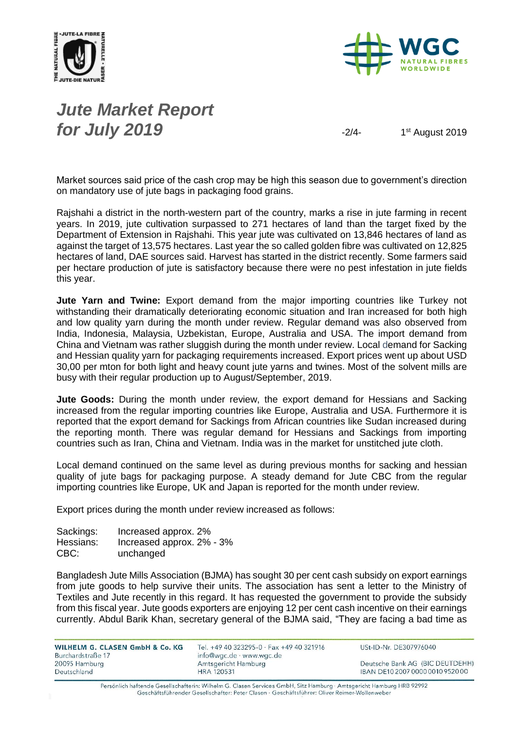



# *Jute Market Report for July 2019*  $\frac{1}{2}$

1<sup>st</sup> August 2019

Market sources said price of the cash crop may be high this season due to government's direction on mandatory use of jute bags in packaging food grains.

Rajshahi a district in the north-western part of the country, marks a rise in jute farming in recent years. In 2019, jute cultivation surpassed to 271 hectares of land than the target fixed by the Department of Extension in Rajshahi. This year jute was cultivated on 13,846 hectares of land as against the target of 13,575 hectares. Last year the so called golden fibre was cultivated on 12,825 hectares of land, DAE sources said. Harvest has started in the district recently. Some farmers said per hectare production of jute is satisfactory because there were no pest infestation in jute fields this year.

**Jute Yarn and Twine:** Export demand from the major importing countries like Turkey not withstanding their dramatically deteriorating economic situation and Iran increased for both high and low quality yarn during the month under review. Regular demand was also observed from India, Indonesia, Malaysia, Uzbekistan, Europe, Australia and USA. The import demand from China and Vietnam was rather sluggish during the month under review. Local demand for Sacking and Hessian quality yarn for packaging requirements increased. Export prices went up about USD 30,00 per mton for both light and heavy count jute yarns and twines. Most of the solvent mills are busy with their regular production up to August/September, 2019.

**Jute Goods:** During the month under review, the export demand for Hessians and Sacking increased from the regular importing countries like Europe, Australia and USA. Furthermore it is reported that the export demand for Sackings from African countries like Sudan increased during the reporting month. There was regular demand for Hessians and Sackings from importing countries such as Iran, China and Vietnam. India was in the market for unstitched jute cloth.

Local demand continued on the same level as during previous months for sacking and hessian quality of jute bags for packaging purpose. A steady demand for Jute CBC from the regular importing countries like Europe, UK and Japan is reported for the month under review.

Export prices during the month under review increased as follows:

| Sackings: | Increased approx. 2%      |
|-----------|---------------------------|
| Hessians: | Increased approx. 2% - 3% |
| CBC:      | unchanged                 |

Bangladesh Jute Mills Association (BJMA) has sought 30 per cent cash subsidy on export earnings from jute goods to help survive their units. The association has sent a letter to the Ministry of Textiles and Jute recently in this regard. It has requested the government to provide the subsidy from this fiscal year. Jute goods exporters are enjoying 12 per cent cash incentive on their earnings currently. Abdul Barik Khan, secretary general of the BJMA said, "They are facing a bad time as

WILHELM G. CLASEN GmbH & Co. KG Burchardstraße 17 20095 Hamburg Deutschland

Tel. +49 40 323295-0 · Fax +49 40 321916 info@wgc.de · www.wgc.de Amtsgericht Hamburg **HRA 120531** 

USt-ID-Nr. DE307976040

Deutsche Bank AG (BIC DEUTDEHH) IBAN DE10 2007 0000 0010 9520 00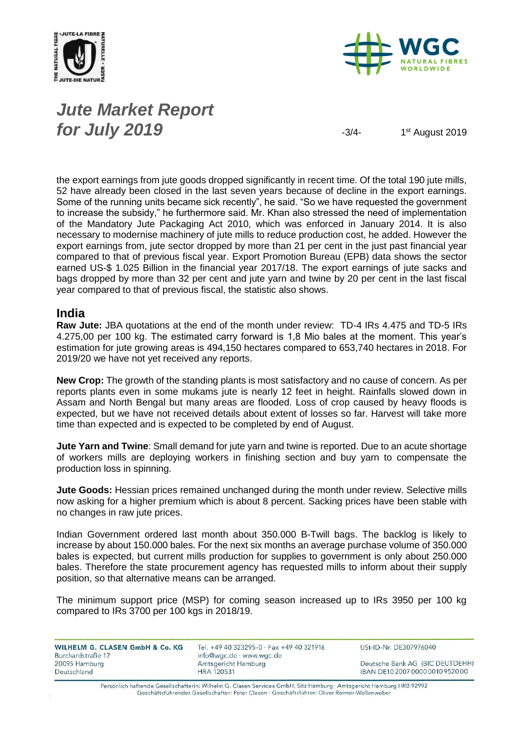



# *Jute Market Report for July 2019*  $\frac{3}{4}$

1<sup>st</sup> August 2019

the export earnings from jute goods dropped significantly in recent time. Of the total 190 jute mills, 52 have already been closed in the last seven years because of decline in the export earnings. Some of the running units became sick recently", he said. "So we have requested the government to increase the subsidy," he furthermore said. Mr. Khan also stressed the need of implementation of the Mandatory Jute Packaging Act 2010, which was enforced in January 2014. It is also necessary to modernise machinery of jute mills to reduce production cost, he added. However the export earnings from, jute sector dropped by more than 21 per cent in the just past financial year compared to that of previous fiscal year. Export Promotion Bureau (EPB) data shows the sector earned US-\$ 1.025 Billion in the financial year 2017/18. The export earnings of jute sacks and bags dropped by more than 32 per cent and jute yarn and twine by 20 per cent in the last fiscal year compared to that of previous fiscal, the statistic also shows.

#### **India**

**Raw Jute:** JBA quotations at the end of the month under review: TD-4 IRs 4.475 and TD-5 IRs 4.275,00 per 100 kg. The estimated carry forward is 1,8 Mio bales at the moment. This year's estimation for jute growing areas is 494,150 hectares compared to 653,740 hectares in 2018. For 2019/20 we have not yet received any reports.

**New Crop:** The growth of the standing plants is most satisfactory and no cause of concern. As per reports plants even in some mukams jute is nearly 12 feet in height. Rainfalls slowed down in Assam and North Bengal but many areas are flooded. Loss of crop caused by heavy floods is expected, but we have not received details about extent of losses so far. Harvest will take more time than expected and is expected to be completed by end of August.

**Jute Yarn and Twine**: Small demand for jute yarn and twine is reported. Due to an acute shortage of workers mills are deploying workers in finishing section and buy yarn to compensate the production loss in spinning.

**Jute Goods:** Hessian prices remained unchanged during the month under review. Selective mills now asking for a higher premium which is about 8 percent. Sacking prices have been stable with no changes in raw jute prices.

Indian Government ordered last month about 350.000 B-Twill bags. The backlog is likely to increase by about 150.000 bales. For the next six months an average purchase volume of 350.000 bales is expected, but current mills production for supplies to government is only about 250.000 bales. Therefore the state procurement agency has requested mills to inform about their supply position, so that alternative means can be arranged.

The minimum support price (MSP) for coming season increased up to IRs 3950 per 100 kg compared to IRs 3700 per 100 kgs in 2018/19.

| WILHELM G. CLASEN GmbH & Co. KG<br>Burchardstraße 17 | Tel. +49 40 323295-0 · Fax +49 40 321916<br>info@wgc.de · www.wgc.de | USt-ID-Nr. DE307976040           |
|------------------------------------------------------|----------------------------------------------------------------------|----------------------------------|
| 20095 Hamburg                                        | Amtsgericht Hamburg                                                  | Deutsche Bank AG (BIC DEUTDEHH)  |
| Deutschland                                          | <b>HRA 120531</b>                                                    | IBAN DE10 2007 0000 0010 9520 00 |